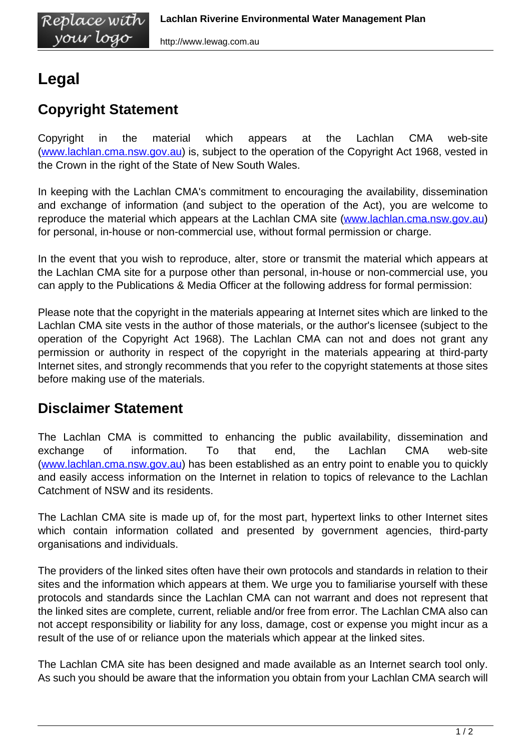## **Legal**

## **Copyright Statement**

Copyright in the material which appears at the Lachlan CMA web-site ([www.lachlan.cma.nsw.gov.au\)](/) is, subject to the operation of the Copyright Act 1968, vested in the Crown in the right of the State of New South Wales.

In keeping with the Lachlan CMA's commitment to encouraging the availability, dissemination and exchange of information (and subject to the operation of the Act), you are welcome to reproduce the material which appears at the Lachlan CMA site ([www.lachlan.cma.nsw.gov.au](/)) for personal, in-house or non-commercial use, without formal permission or charge.

In the event that you wish to reproduce, alter, store or transmit the material which appears at the Lachlan CMA site for a purpose other than personal, in-house or non-commercial use, you can apply to the Publications & Media Officer at the following address for formal permission:

Please note that the copyright in the materials appearing at Internet sites which are linked to the Lachlan CMA site vests in the author of those materials, or the author's licensee (subject to the operation of the Copyright Act 1968). The Lachlan CMA can not and does not grant any permission or authority in respect of the copyright in the materials appearing at third-party Internet sites, and strongly recommends that you refer to the copyright statements at those sites before making use of the materials.

## **Disclaimer Statement**

The Lachlan CMA is committed to enhancing the public availability, dissemination and exchange of information. To that end, the Lachlan CMA web-site ([www.lachlan.cma.nsw.gov.au\)](/) has been established as an entry point to enable you to quickly and easily access information on the Internet in relation to topics of relevance to the Lachlan Catchment of NSW and its residents.

The Lachlan CMA site is made up of, for the most part, hypertext links to other Internet sites which contain information collated and presented by government agencies, third-party organisations and individuals.

The providers of the linked sites often have their own protocols and standards in relation to their sites and the information which appears at them. We urge you to familiarise yourself with these protocols and standards since the Lachlan CMA can not warrant and does not represent that the linked sites are complete, current, reliable and/or free from error. The Lachlan CMA also can not accept responsibility or liability for any loss, damage, cost or expense you might incur as a result of the use of or reliance upon the materials which appear at the linked sites.

The Lachlan CMA site has been designed and made available as an Internet search tool only. As such you should be aware that the information you obtain from your Lachlan CMA search will